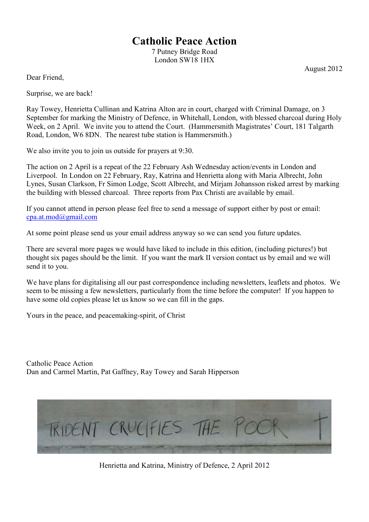# **Catholic Peace Action**

7 Putney Bridge Road London SW18 1HX

August 2012

Dear Friend,

Surprise, we are back!

Ray Towey, Henrietta Cullinan and Katrina Alton are in court, charged with Criminal Damage, on 3 September for marking the Ministry of Defence, in Whitehall, London, with blessed charcoal during Holy Week, on 2 April. We invite you to attend the Court. (Hammersmith Magistrates' Court, 181 Talgarth Road, London, W6 8DN. The nearest tube station is Hammersmith.)

We also invite you to join us outside for prayers at 9:30.

The action on 2 April is a repeat of the 22 February Ash Wednesday action/events in London and Liverpool. In London on 22 February, Ray, Katrina and Henrietta along with Maria Albrecht, John Lynes, Susan Clarkson, Fr Simon Lodge, Scott Albrecht, and Mirjam Johansson risked arrest by marking the building with blessed charcoal. Three reports from Pax Christi are available by email.

If you cannot attend in person please feel free to send a message of support either by post or email: cpa.at.mod@gmail.com

At some point please send us your email address anyway so we can send you future updates.

There are several more pages we would have liked to include in this edition, (including pictures!) but thought six pages should be the limit. If you want the mark II version contact us by email and we will send it to you.

We have plans for digitalising all our past correspondence including newsletters, leaflets and photos. We seem to be missing a few newsletters, particularly from the time before the computer! If you happen to have some old copies please let us know so we can fill in the gaps.

Yours in the peace, and peacemaking-spirit, of Christ

Catholic Peace Action Dan and Carmel Martin, Pat Gaffney, Ray Towey and Sarah Hipperson



Henrietta and Katrina, Ministry of Defence, 2 April 2012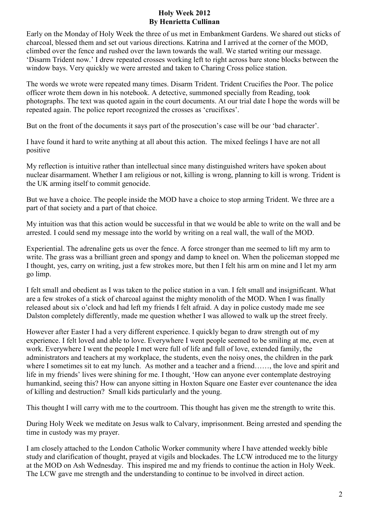## **Holy Week 2012 By Henrietta Cullinan**

Early on the Monday of Holy Week the three of us met in Embankment Gardens. We shared out sticks of charcoal, blessed them and set out various directions. Katrina and I arrived at the corner of the MOD, climbed over the fence and rushed over the lawn towards the wall. We started writing our message. 'Disarm Trident now.' I drew repeated crosses working left to right across bare stone blocks between the window bays. Very quickly we were arrested and taken to Charing Cross police station.

The words we wrote were repeated many times. Disarm Trident. Trident Crucifies the Poor. The police officer wrote them down in his notebook. A detective, summoned specially from Reading, took photographs. The text was quoted again in the court documents. At our trial date I hope the words will be repeated again. The police report recognized the crosses as 'crucifixes'.

But on the front of the documents it says part of the prosecution's case will be our 'bad character'.

I have found it hard to write anything at all about this action. The mixed feelings I have are not all positive

My reflection is intuitive rather than intellectual since many distinguished writers have spoken about nuclear disarmament. Whether I am religious or not, killing is wrong, planning to kill is wrong. Trident is the UK arming itself to commit genocide.

But we have a choice. The people inside the MOD have a choice to stop arming Trident. We three are a part of that society and a part of that choice.

My intuition was that this action would be successful in that we would be able to write on the wall and be arrested. I could send my message into the world by writing on a real wall, the wall of the MOD.

Experiential. The adrenaline gets us over the fence. A force stronger than me seemed to lift my arm to write. The grass was a brilliant green and spongy and damp to kneel on. When the policeman stopped me I thought, yes, carry on writing, just a few strokes more, but then I felt his arm on mine and I let my arm go limp.

I felt small and obedient as I was taken to the police station in a van. I felt small and insignificant. What are a few strokes of a stick of charcoal against the mighty monolith of the MOD. When I was finally released about six o'clock and had left my friends I felt afraid. A day in police custody made me see Dalston completely differently, made me question whether I was allowed to walk up the street freely.

However after Easter I had a very different experience. I quickly began to draw strength out of my experience. I felt loved and able to love. Everywhere I went people seemed to be smiling at me, even at work. Everywhere I went the people I met were full of life and full of love, extended family, the administrators and teachers at my workplace, the students, even the noisy ones, the children in the park where I sometimes sit to eat my lunch. As mother and a teacher and a friend……, the love and spirit and life in my friends' lives were shining for me. I thought, 'How can anyone ever contemplate destroying humankind, seeing this? How can anyone sitting in Hoxton Square one Easter ever countenance the idea of killing and destruction? Small kids particularly and the young.

This thought I will carry with me to the courtroom. This thought has given me the strength to write this.

During Holy Week we meditate on Jesus walk to Calvary, imprisonment. Being arrested and spending the time in custody was my prayer.

I am closely attached to the London Catholic Worker community where I have attended weekly bible study and clarification of thought, prayed at vigils and blockades. The LCW introduced me to the liturgy at the MOD on Ash Wednesday. This inspired me and my friends to continue the action in Holy Week. The LCW gave me strength and the understanding to continue to be involved in direct action.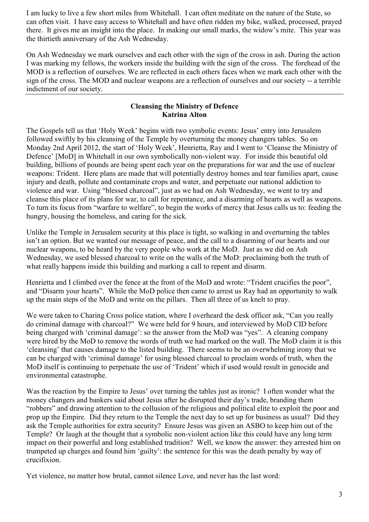I am lucky to live a few short miles from Whitehall. I can often meditate on the nature of the State, so can often visit. I have easy access to Whitehall and have often ridden my bike, walked, processed, prayed there. It gives me an insight into the place. In making our small marks, the widow's mite. This year was the thirtieth anniversary of the Ash Wednesday.

On Ash Wednesday we mark ourselves and each other with the sign of the cross in ash. During the action I was marking my fellows, the workers inside the building with the sign of the cross. The forehead of the MOD is a reflection of ourselves. We are reflected in each others faces when we mark each other with the sign of the cross. The MOD and nuclear weapons are a reflection of ourselves and our society -- a terrible indictment of our society.

## **Cleansing the Ministry of Defence Katrina Alton**

The Gospels tell us that 'Holy Week' begins with two symbolic events: Jesus' entry into Jerusalem followed swiftly by his cleansing of the Temple by overturning the money changers tables. So on Monday 2nd April 2012, the start of 'Holy Week', Henrietta, Ray and I went to 'Cleanse the Ministry of Defence' [MoD] in Whitehall in our own symbolically non-violent way. For inside this beautiful old building, billions of pounds are being spent each year on the preparations for war and the use of nuclear weapons: Trident. Here plans are made that will potentially destroy homes and tear families apart, cause injury and death, pollute and contaminate crops and water, and perpetuate our national addiction to violence and war. Using "blessed charcoal", just as we had on Ash Wednesday, we went to try and cleanse this place of its plans for war, to call for repentance, and a disarming of hearts as well as weapons. To turn its focus from "warfare to welfare", to begin the works of mercy that Jesus calls us to: feeding the hungry, housing the homeless, and caring for the sick.

Unlike the Temple in Jerusalem security at this place is tight, so walking in and overturning the tables isn't an option. But we wanted our message of peace, and the call to a disarming of our hearts and our nuclear weapons, to be heard by the very people who work at the MoD. Just as we did on Ash Wednesday, we used blessed charcoal to write on the walls of the MoD: proclaiming both the truth of what really happens inside this building and marking a call to repent and disarm.

Henrietta and I climbed over the fence at the front of the MoD and wrote: "Trident crucifies the poor", and "Disarm your hearts". While the MoD police then came to arrest us Ray had an opportunity to walk up the main steps of the MoD and write on the pillars. Then all three of us knelt to pray.

We were taken to Charing Cross police station, where I overheard the desk officer ask, "Can you really do criminal damage with charcoal?" We were held for 9 hours, and interviewed by MoD CID before being charged with 'criminal damage': so the answer from the MoD was "yes". A cleaning company were hired by the MoD to remove the words of truth we had marked on the wall. The MoD claim it is this 'cleansing' that causes damage to the listed building. There seems to be an overwhelming irony that we can be charged with 'criminal damage' for using blessed charcoal to proclaim words of truth, when the MoD itself is continuing to perpetuate the use of 'Trident' which if used would result in genocide and environmental catastrophe.

Was the reaction by the Empire to Jesus' over turning the tables just as ironic? I often wonder what the money changers and bankers said about Jesus after he disrupted their day's trade, branding them "robbers" and drawing attention to the collusion of the religious and political elite to exploit the poor and prop up the Empire. Did they return to the Temple the next day to set up for business as usual? Did they ask the Temple authorities for extra security? Ensure Jesus was given an ASBO to keep him out of the Temple? Or laugh at the thought that a symbolic non-violent action like this could have any long term impact on their powerful and long established tradition? Well, we know the answer: they arrested him on trumpeted up charges and found him 'guilty': the sentence for this was the death penalty by way of crucifixion.

Yet violence, no matter how brutal, cannot silence Love, and never has the last word: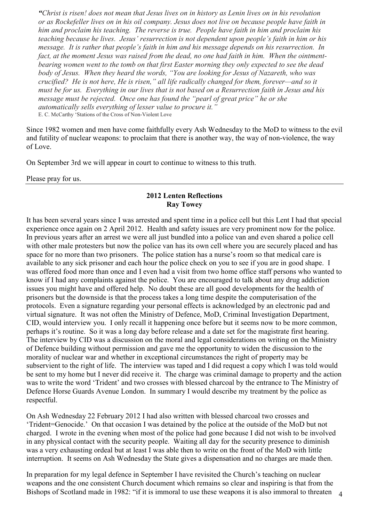*"Christ is risen! does not mean that Jesus lives on in history as Lenin lives on in his revolution or as Rockefeller lives on in his oil company. Jesus does not live on because people have faith in him and proclaim his teaching. The reverse is true. People have faith in him and proclaim his teaching because he lives. Jesus' resurrection is not dependent upon people's faith in him or his message. It is rather that people's faith in him and his message depends on his resurrection. In fact, at the moment Jesus was raised from the dead, no one had faith in him. When the ointmentbearing women went to the tomb on that first Easter morning they only expected to see the dead body of Jesus. When they heard the words, "You are looking for Jesus of Nazareth, who was crucified? He is not here, He is risen," all life radically changed for them, forever—and so it must be for us. Everything in our lives that is not based on a Resurrection faith in Jesus and his message must be rejected. Once one has found the "pearl of great price" he or she automatically sells everything of lesser value to procure it."*  E. C. McCarthy 'Stations of the Cross of Non-Violent Love

Since 1982 women and men have come faithfully every Ash Wednesday to the MoD to witness to the evil and futility of nuclear weapons: to proclaim that there is another way, the way of non-violence, the way of Love.

On September 3rd we will appear in court to continue to witness to this truth.

Please pray for us.

### **2012 Lenten Reflections Ray Towey**

It has been several years since I was arrested and spent time in a police cell but this Lent I had that special experience once again on 2 April 2012. Health and safety issues are very prominent now for the police. In previous years after an arrest we were all just bundled into a police van and even shared a police cell with other male protesters but now the police van has its own cell where you are securely placed and has space for no more than two prisoners. The police station has a nurse's room so that medical care is available to any sick prisoner and each hour the police check on you to see if you are in good shape. I was offered food more than once and I even had a visit from two home office staff persons who wanted to know if I had any complaints against the police. You are encouraged to talk about any drug addiction issues you might have and offered help. No doubt these are all good developments for the health of prisoners but the downside is that the process takes a long time despite the computerisation of the protocols. Even a signature regarding your personal effects is acknowledged by an electronic pad and virtual signature. It was not often the Ministry of Defence, MoD, Criminal Investigation Department, CID, would interview you. I only recall it happening once before but it seems now to be more common, perhaps it's routine. So it was a long day before release and a date set for the magistrate first hearing. The interview by CID was a discussion on the moral and legal considerations on writing on the Ministry of Defence building without permission and gave me the opportunity to widen the discussion to the morality of nuclear war and whether in exceptional circumstances the right of property may be subservient to the right of life. The interview was taped and I did request a copy which I was told would be sent to my home but I never did receive it. The charge was criminal damage to property and the action was to write the word 'Trident' and two crosses with blessed charcoal by the entrance to The Ministry of Defence Horse Guards Avenue London. In summary I would describe my treatment by the police as respectful.

On Ash Wednesday 22 February 2012 I had also written with blessed charcoal two crosses and 'Trident=Genocide.' On that occasion I was detained by the police at the outside of the MoD but not charged. I wrote in the evening when most of the police had gone because I did not wish to be involved in any physical contact with the security people. Waiting all day for the security presence to diminish was a very exhausting ordeal but at least I was able then to write on the front of the MoD with little interruption. It seems on Ash Wednesday the State gives a dispensation and no charges are made then.

Bishops of Scotland made in 1982: "if it is immoral to use these weapons it is also immoral to threaten 4 In preparation for my legal defence in September I have revisited the Church's teaching on nuclear weapons and the one consistent Church document which remains so clear and inspiring is that from the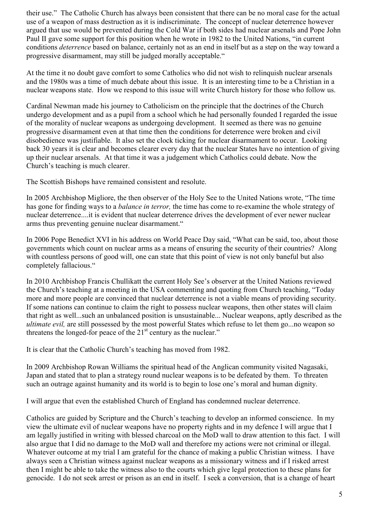their use." The Catholic Church has always been consistent that there can be no moral case for the actual use of a weapon of mass destruction as it is indiscriminate. The concept of nuclear deterrence however argued that use would be prevented during the Cold War if both sides had nuclear arsenals and Pope John Paul II gave some support for this position when he wrote in 1982 to the United Nations, "in current conditions *deterrence* based on balance, certainly not as an end in itself but as a step on the way toward a progressive disarmament, may still be judged morally acceptable."

At the time it no doubt gave comfort to some Catholics who did not wish to relinquish nuclear arsenals and the 1980s was a time of much debate about this issue. It is an interesting time to be a Christian in a nuclear weapons state. How we respond to this issue will write Church history for those who follow us.

Cardinal Newman made his journey to Catholicism on the principle that the doctrines of the Church undergo development and as a pupil from a school which he had personally founded I regarded the issue of the morality of nuclear weapons as undergoing development. It seemed as there was no genuine progressive disarmament even at that time then the conditions for deterrence were broken and civil disobedience was justifiable. It also set the clock ticking for nuclear disarmament to occur. Looking back 30 years it is clear and becomes clearer every day that the nuclear States have no intention of giving up their nuclear arsenals. At that time it was a judgement which Catholics could debate. Now the Church's teaching is much clearer.

The Scottish Bishops have remained consistent and resolute.

In 2005 Archbishop Migliore, the then observer of the Holy See to the United Nations wrote, "The time has gone for finding ways to a *balance in terror,* the time has come to re-examine the whole strategy of nuclear deterrence....it is evident that nuclear deterrence drives the development of ever newer nuclear arms thus preventing genuine nuclear disarmament."

In 2006 Pope Benedict XVI in his address on World Peace Day said, "What can be said, too, about those governments which count on nuclear arms as a means of ensuring the security of their countries? Along with countless persons of good will, one can state that this point of view is not only baneful but also completely fallacious."

In 2010 Archbishop Francis Chullikatt the current Holy See's observer at the United Nations reviewed the Church's teaching at a meeting in the USA commenting and quoting from Church teaching, "Today more and more people are convinced that nuclear deterrence is not a viable means of providing security. If some nations can continue to claim the right to possess nuclear weapons, then other states will claim that right as well...such an unbalanced position is unsustainable... Nuclear weapons, aptly described as the *ultimate evil,* are still possessed by the most powerful States which refuse to let them go...no weapon so threatens the longed-for peace of the  $21<sup>st</sup>$  century as the nuclear."

It is clear that the Catholic Church's teaching has moved from 1982.

In 2009 Archbishop Rowan Williams the spiritual head of the Anglican community visited Nagasaki, Japan and stated that to plan a strategy round nuclear weapons is to be defeated by them. To threaten such an outrage against humanity and its world is to begin to lose one's moral and human dignity.

I will argue that even the established Church of England has condemned nuclear deterrence.

Catholics are guided by Scripture and the Church's teaching to develop an informed conscience. In my view the ultimate evil of nuclear weapons have no property rights and in my defence I will argue that I am legally justified in writing with blessed charcoal on the MoD wall to draw attention to this fact. I will also argue that I did no damage to the MoD wall and therefore my actions were not criminal or illegal. Whatever outcome at my trial I am grateful for the chance of making a public Christian witness. I have always seen a Christian witness against nuclear weapons as a missionary witness and if I risked arrest then I might be able to take the witness also to the courts which give legal protection to these plans for genocide. I do not seek arrest or prison as an end in itself. I seek a conversion, that is a change of heart